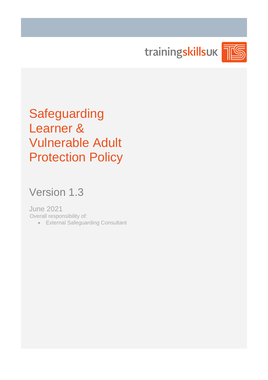trainingskillsuk



**Safeguarding** Learner & Vulnerable Adult Protection Policy

# Version 1.3

June 2021 Overall responsibility of:

• External Safeguarding Consultant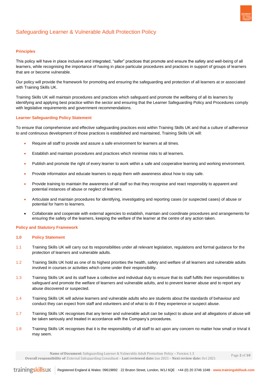

# Safeguarding Learner & Vulnerable Adult Protection Policy

# **Principles**

This policy will have in place inclusive and integrated, "safer" practices that promote and ensure the safety and well-being of all learners, while recognising the importance of having in place particular procedures and practices in support of groups of learners that are or become vulnerable.

Our policy will provide the framework for promoting and ensuring the safeguarding and protection of all learners at or associated with Training Skills UK.

Training Skills UK will maintain procedures and practices which safeguard and promote the wellbeing of all its learners by identifying and applying best practice within the sector and ensuring that the Learner Safeguarding Policy and Procedures comply with legislative requirements and government recommendations.

# **Learner Safeguarding Policy Statement**

To ensure that comprehensive and effective safeguarding practices exist within Training Skills UK and that a culture of adherence to and continuous development of those practices is established and maintained, Training Skills UK will:

- Require all staff to provide and assure a safe environment for learners at all times.
- Establish and maintain procedures and practices which minimise risks to all learners.
- Publish and promote the right of every learner to work within a safe and cooperative learning and working environment.
- Provide information and educate learners to equip them with awareness about how to stay safe.
- Provide training to maintain the awareness of all staff so that they recognise and react responsibly to apparent and potential instances of abuse or neglect of learners.
- Articulate and maintain procedures for identifying, investigating and reporting cases (or suspected cases) of abuse or potential for harm to learners.
- Collaborate and cooperate with external agencies to establish, maintain and coordinate procedures and arrangements for ensuring the safety of the learners, keeping the welfare of the learner at the centre of any action taken.

# **Policy and Statutory Framework**

# **1.0 Policy Statement**

- 1.1 Training Skills UK will carry out its responsibilities under all relevant legislation, regulations and formal guidance for the protection of learners and vulnerable adults.
- 1.2 Training Skills UK hold as one of its highest priorities the health, safety and welfare of all learners and vulnerable adults involved in courses or activities which come under their responsibility.
- 1.3 Training Skills UK and its staff have a collective and individual duty to ensure that its staff fulfills their responsibilities to safeguard and promote the welfare of learners and vulnerable adults, and to prevent learner abuse and to report any abuse discovered or suspected.
- 1.4 Training Skills UK will advise learners and vulnerable adults who are students about the standards of behaviour and conduct they can expect from staff and volunteers and of what to do if they experience or suspect abuse.
- 1.7 Training Skills UK recognises that any lerner and vulnerable adult can be subject to abuse and all allegations of abuse will be taken seriously and treated in accordance with the Company's procedures.
- 1.8 Training Skills UK recognises that it is the responsibility of all staff to act upon any concern no matter how small or trivial it may seem.

**Name of Document:** Safeguarding Learner & Vulnerable Adult Protection Policy – Version 1.3

**Overall responsibility of**: External Safeguarding Consultant – **Last reviewed date:** Jun 2021 – **Next review date:** Oct 2021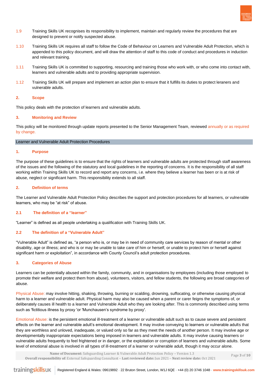

- 1.9 Training Skills UK recognises its responsibility to implement, maintain and regularly review the procedures that are designed to prevent or notify suspected abuse.
- 1.10 Training Skills UK requires all staff to follow the Code of Behaviour on Learners and Vulnerable Adult Protection, which is appended to this policy document, and will draw the attention of staff to this code of conduct and procedures in induction and relevant training.
- 1.11 Training Skills UK is committed to supporting, resourcing and training those who work with, or who come into contact with, learners and vulnerable adults and to providing appropriate supervision.
- 1.12 Training Skills UK will prepare and implement an action plan to ensure that it fulfills its duties to protect leraners and vulnerable adults.

# **2. Scope**

This policy deals with the protection of learners and vulnerable adults.

# **3. Monitoring and Review**

This policy will be monitored through update reports presented to the Senior Management Team, reviewed annually or as required by change.

#### Learner and Vulnerable Adult Protection Procedures

#### **1. Purpose**

The purpose of these guidelines is to ensure that the rights of learners and vulnerable adults are protected through staff awareness of the issues and the following of the statutory and local guidelines in the reporting of concerns. It is the responsibility of all staff working within Training Skills UK to record and report any concerns, i.e. where they believe a learner has been or is at risk of abuse, neglect or significant harm. This responsibility extends to all staff.

# **2. Definition of terms**

The Learner and Vulnerable Adult Protection Policy describes the support and protection procedures for all learners, or vulnerable learners, who may be "at risk" of abuse.

# **2.1 The definition of a "learner"**

"Learner" is defined as all people undertaking a qualification with Training Skills UK.

# **2.2 The definition of a "Vulnerable Adult"**

"Vulnerable Adult" is defined as, "a person who is, or may be in need of community care services by reason of mental or other disability, age or illness; and who is or may be unable to take care of him or herself, or unable to protect him or herself against significant harm or exploitation", in accordance with County Council's adult protection procedures.

# **3. Categories of Abuse**

Learners can be potentially abused within the family, community, and in organisations by employees (including those employed to promote their welfare and protect them from abuse), volunteers, visitors, and fellow students, the following are broad categories of abuse.

Physical Abuse: may involve hitting, shaking, throwing, burning or scalding, drowning, suffocating, or otherwise causing physical harm to a learner and vulnerable adult. Physical harm may also be caused when a parent or carer feigns the symptoms of, or deliberately causes ill health to a learner and Vulnerable Adult who they are looking after. This is commonly described using terms such as 'fictitious illness by proxy 'or 'Munchausen's syndrome by proxy'.

Emotional Abuse: is the persistent emotional ill-treatment of a learner or vulnerable adult such as to cause severe and persistent effects on the learner and vulnerable adult's emotional development. It may involve conveying to learners or vulnerable adults that they are worthless and unloved, inadequate, or valued only so far as they meet the needs of another person. It may involve age or developmentally inappropriate expectations being imposed in learners and vulnerable adults. It may involve causing learners or vulnerable adults frequently to feel frightened or in danger, or the exploitation or corruption of learners and vulnerable adults. Some level of emotional abuse is involved in all types of ill-treatment of a learner or vulnerable adult, though it may occur alone.

 **Name of Document:** Safeguarding Learner & Vulnerable Adult Protection Policy – Version 1.3 **Overall responsibility of**: External Safeguarding Consultant – **Last reviewed date:** Jun 2021 – **Next review date:** Oct 2021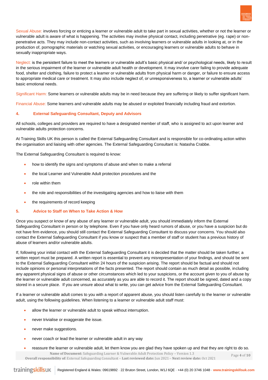

Sexual Abuse: involves forcing or enticing a learner or vulnerable adult to take part in sexual activities, whether or not the learner or vulnerable adult is aware of what is happening. The activities may involve physical contact, including penetrative (eg. rape) or nonpenetrative acts. They may include non-contact activities, such as involving learners or vulnerable adults in looking at, or in the production of, pornographic materials or watching sexual activities, or encouraging learners or vulnerable adults to behave in sexually inappropriate ways.

Neglect: is the persistent failure to meet the learners or vulnerable adult's basic physical and/ or psychological needs, likely to result in the serious impairment of the learner or vulnerable adult health or development. It may involve carer failing to provide adequate food, shelter and clothing, failure to protect a learner or vulnerable adults from physical harm or danger, or failure to ensure access to appropriate medical care or treatment. It may also include neglect of, or unresponsiveness to, a learner or vulnerable adults' basic emotional needs.

Significant Harm: Some learners or vulnerable adults may be in need because they are suffering or likely to suffer significant harm.

Financial Abuse: Some learners and vulnerable adults may be abused or exploited financially including fraud and extortion.

# **4. External Safeguarding Consultant, Deputy and Advisors**

All schools, colleges and providers are required to have a designated member of staff, who is assigned to act upon learner and vulnerable adults protection concerns.

At Training Skills UK this person is called the External Safeguarding Consultant and is responsible for co-ordinating action within the organisation and liaising with other agencies. The External Safeguarding Consultant is: Natasha Crabbe.

The External Safeguarding Consultant is required to know:

- how to identify the signs and symptoms of abuse and when to make a referral
- the local Learner and Vulnerable Adult protection procedures and the
- role within them
- the role and responsibilities of the investigating agencies and how to liaise with them
- the requirements of record keeping

#### **5. Advice to Staff on When to Take Action & How**

Once you suspect or know of any abuse of any learner or vulnerable adult, you should immediately inform the External Safeguarding Consultant in person or by telephone. Even if you have only heard rumors of abuse, or you have a suspicion but do not have firm evidence, you should still contact the External Safeguarding Consultant to discuss your concerns. You should also contact the External Safeguarding Consultant if you know or suspect that a member of staff or student has a previous history of abuse of learners and/or vulnerable adults.

If, following your initial contact with the External Safeguarding Consultant it is decided that the matter should be taken further; a written report must be prepared. A written report is essential to prevent any misrepresentation of your findings, and should be sent to the External Safeguarding Consultant within 24 hours of the suspicion arising. The report should be factual and should not include opinions or personal interpretations of the facts presented. The report should contain as much detail as possible, including any apparent physical signs of abuse or other circumstances which led to your suspicions, or the account given to you of abuse by the learner or vulnerable adult concerned, as accurately as you are able to record it. The report should be signed, dated and a copy stored in a secure place. If you are unsure about what to write, you can get advice from the External Safeguarding Consultant.

If a learner or vulnerable adult comes to you with a report of apparent abuse, you should listen carefully to the learner or vulnerable adult, using the following guidelines. When listening to a learner or vulnerable adult staff must:

- allow the learner or vulnerable adult to speak without interruption.
- never trivialise or exaggerate the issue.
- never make suggestions.
- never coach or lead the learner or vulnerable adult in any way
- **Name of Document:** Safeguarding Learner & Vulnerable Adult Protection Policy Version 1.3 **Overall responsibility of**: External Safeguarding Consultant – **Last reviewed date:** Jun 2021 – **Next review date:** Oct 2021 Page **4** of **10** • reassure the learner or vulnerable adult, let them know you are glad they have spoken up and that they are right to do so.

trainingskillsuk Registered England & Wales: 09619892 **-** 22 Bruton Street, London, W1J 6QE **-** +44 (0) 20 3746 1048 **- www.trainingskillsuk.com**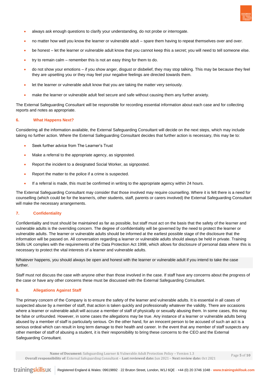

- always ask enough questions to clarify your understanding, do not probe or interrogate.
- no matter how well you know the learner or vulnerable adult spare them having to repeat themselves over and over.
- be honest let the learner or vulnerable adult know that you cannot keep this a secret; you will need to tell someone else.
- try to remain calm remember this is not an easy thing for them to do.
- do not show your emotions if you show anger, disgust or disbelief, they may stop talking. This may be because they feel they are upsetting you or they may feel your negative feelings are directed towards them.
- let the learner or vulnerable adult know that you are taking the matter very seriously.
- make the learner or vulnerable adult feel secure and safe without causing them any further anxiety.

The External Safeguarding Consultant will be responsible for recording essential information about each case and for collecting reports and notes as appropriate.

#### **6. What Happens Next?**

Considering all the information available, the External Safeguarding Consultant will decide on the next steps, which may include taking no further action. Where the External Safeguarding Consultant decides that further action is necessary, this may be to:

- Seek further advice from The Learner's Trust
- Make a referral to the appropriate agency, as signposted.
- Report the incident to a designated Social Worker, as signposted.
- Report the matter to the police if a crime is suspected.
- If a referral is made, this must be confirmed in writing to the appropriate agency within 24 hours.

The External Safeguarding Consultant may consider that those involved may require counselling. Where it is felt there is a need for counselling (which could be for the learner/s, other students, staff, parents or carers involved) the External Safeguarding Consultant will make the necessary arrangements.

# **7. Confidentiality**

Confidentiality and trust should be maintained as far as possible, but staff must act on the basis that the safety of the learner and vulnerable adults is the overriding concern. The degree of confidentiality will be governed by the need to protect the learner or vulnerable adults. The learner or vulnerable adults should be informed at the earliest possible stage of the disclosure that the information will be passed on. All conversation regarding a learner or vulnerable adults should always be held in private. Training Skills UK complies with the requirements of the Data Protection Act 1998, which allows for disclosure of personal data where this is necessary to protect the vital interests of a learner and vulnerable adults.

Whatever happens, you should always be open and honest with the learner or vulnerable adult if you intend to take the case further.

Staff must not discuss the case with anyone other than those involved in the case. If staff have any concerns about the progress of the case or have any other concerns these must be discussed with the External Safeguarding Consultant.

# **8. Allegations Against Staff**

The primary concern of the Company is to ensure the safety of the learner and vulnerable adults. It is essential in all cases of suspected abuse by a member of staff, that action is taken quickly and professionally whatever the validity. There are occasions where a learner or vulnerable adult will accuse a member of staff of physically or sexually abusing them. In some cases, this may be false or unfounded. However, in some cases the allegations may be true. Any instance of a learner or vulnerable adults being abused by a member of staff is particularly serious. On the other hand, for an innocent person to be accused of such an act is a serious ordeal which can result in long term damage to their health and career. In the event that any member of staff suspects any other member of staff of abusing a student, it is their responsibility to bring these concerns to the CEO and the External Safeguarding Consultant.

 **Name of Document:** Safeguarding Learner & Vulnerable Adult Protection Policy – Version 1.3 **Overall responsibility of**: External Safeguarding Consultant – **Last reviewed date:** Jun 2021 – **Next review date:** Oct 2021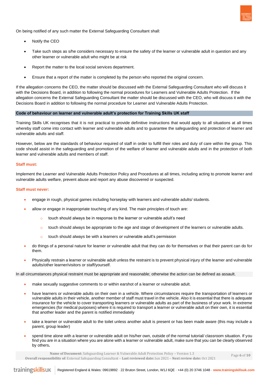

On being notified of any such matter the External Safeguarding Consultant shall:

- Notify the CEO
- Take such steps as s/he considers necessary to ensure the safety of the learner or vulnerable adult in question and any other learner or vulnerable adult who might be at risk
- Report the matter to the local social services department.
- Ensure that a report of the matter is completed by the person who reported the original concern.

If the allegation concerns the CEO, the matter should be discussed with the External Safeguarding Consultant who will discuss it with the Decisions Board, in addition to following the normal procedures for Learners and Vulnerable Adults Protection. If the allegation concerns the External Safeguarding Consultant the matter should be discussed with the CEO, who will discuss it with the Decisions Board in addition to following the normal procedure for Learner and Vulnerable Adults Protection.

# **Code of behaviour on learner and vulnerable adult's protection for Training Skills UK staff**

Training Skills UK recognises that it is not practical to provide definitive instructions that would apply to all situations at all times whereby staff come into contact with learner and vulnerable adults and to guarantee the safeguarding and protection of learner and vulnerable adults and staff.

However, below are the standards of behaviour required of staff in order to fulfill their roles and duty of care within the group. This code should assist in the safeguarding and promotion of the welfare of learner and vulnerable adults and in the protection of both learner and vulnerable adults and members of staff.

#### **Staff must:**

Implement the Learner and Vulnerable Adults Protection Policy and Procedures at all times, including acting to promote learner and vulnerable adults welfare, prevent abuse and report any abuse discovered or suspected.

### **Staff must never:**

- engage in rough, physical games including horseplay with learners and vulnerable adults/ students.
- allow or engage in inappropriate touching of any kind. The main principles of touch are:
	- o touch should always be in response to the learner or vulnerable adult's need
	- $\circ$  touch should always be appropriate to the age and stage of development of the learners or vulnerable adults.
	- o touch should always be with a learners or vulnerable adult's permission
- do things of a personal nature for learner or vulnerable adult that they can do for themselves or that their parent can do for them.
- Physically restrain a learner or vulnerable adult unless the restraint is to prevent physical injury of the learner and vulnerable adults/other learner/visitors or staff/yourself.

In all circumstances physical restraint must be appropriate and reasonable; otherwise the action can be defined as assault.

- make sexually suggestive comments to or within earshot of a learner or vulnerable adult.
- have learners or vulnerable adults on their own in a vehicle. Where circumstances require the transportation of learners or vulnerable adults in their vehicle, another member of staff must travel in the vehicle. Also it is essential that there is adequate insurance for the vehicle to cover transporting learners or vulnerable adults as part of the business of your work. In extreme emergencies (for medical purposes) where it is required to transport a learner or vulnerable adult on their own, it is essential that another leader and the parent is notified immediately
- take a learner or vulnerable adult to the toilet unless another adult is present or has been made aware (this may include a parent, group leader)
- spend time alone with a learner or vulnerable adult on his/her own, outside of the normal tutorial/ classroom situation. If you find you are in a situation where you are alone with a learner or vulnerable adult, make sure that you can be clearly observed by others**.**

**Name of Document:** Safeguarding Learner & Vulnerable Adult Protection Policy – Version 1.3

**Overall responsibility of**: External Safeguarding Consultant – **Last reviewed date:** Jun 2021 – **Next review date:** Oct 2021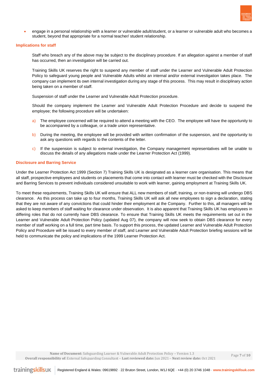

• engage in a personal relationship with a learner or vulnerable adult/student, or a learner or vulnerable adult who becomes a student, beyond that appropriate for a normal teacher/ student relationship.

#### **Implications for staff**

Staff who breach any of the above may be subject to the disciplinary procedure. If an allegation against a member of staff has occurred, then an investigation will be carried out.

Training Skills UK reserves the right to suspend any member of staff under the Learner and Vulnerable Adult Protection Policy to safeguard young people and Vulnerable Adults whilst an internal and/or external investigation takes place. The company can implement its own internal investigation during any stage of this process. This may result in disciplinary action being taken on a member of staff.

Suspension of staff under the Learner and Vulnerable Adult Protection procedure.

Should the company implement the Learner and Vulnerable Adult Protection Procedure and decide to suspend the employee; the following procedure will be undertaken:

- a) The employee concerned will be required to attend a meeting with the CEO. The employee will have the opportunity to be accompanied by a colleague, or a trade union representative.
- b) During the meeting, the employee will be provided with written confirmation of the suspension, and the opportunity to ask any questions with regards to the contents of the letter.
- c) If the suspension is subject to external investigation, the Company management representatives will be unable to discuss the details of any allegations made under the Learner Protection Act (1999).

# **Disclosure and Barring Service**

Under the Learner Protection Act 1999 (Section 7) Training Skills UK is designated as a learner care organisation. This means that all staff, prospective employees and students on placements that come into contact with learner must be checked with the Disclosure and Barring Services to prevent individuals considered unsuitable to work with learner, gaining employment at Training Skills UK.

To meet these requirements, Training Skills UK will ensure that ALL new members of staff, training, or non-training will undergo DBS clearance. As this process can take up to four months, Training Skills UK will ask all new employees to sign a declaration, stating that they are not aware of any convictions that could hinder their employment at the Company. Further to this, all managers will be asked to keep members of staff waiting for clearance under observation. It is also apparent that Training Skills UK has employees in differing roles that do not currently have DBS clearance. To ensure that Training Skills UK meets the requirements set out in the Learner and Vulnerable Adult Protection Policy (updated Aug 07), the company will now seek to obtain DBS clearance for every member of staff working on a full time, part time basis. To support this process, the updated Learner and Vulnerable Adult Protection Policy and Procedure will be issued to every member of staff, and Learner and Vulnerable Adult Protection briefing sessions will be held to communicate the policy and implications of the 1999 Learner Protection Act.

**Name of Document:** Safeguarding Learner & Vulnerable Adult Protection Policy – Version 1.3

**Overall responsibility of**: External Safeguarding Consultant – **Last reviewed date:** Jun 2021 – **Next review date:** Oct 2021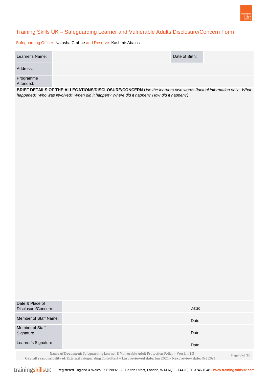

# Training Skills UK – Safeguarding Learner and Vulnerable Adults Disclosure/Concern Form

Safeguarding Officer: Natasha Crabbe and Reserve: Kashmir Abalos

| Learner's Name: | Date of Birth: |  |
|-----------------|----------------|--|
| Address:        |                |  |
| Programme       |                |  |

Attended:

**BRIEF DETAILS OF THE ALLEGATIONS/DISCLOSURE/CONCERN** *Use the learners own words (factual information only. What happened? Who was involved? When did it happen? Where did it happen? How did it happen?)*

| Date & Place of<br>Disclosure/Concern: | Date:                                                                                     |                                           |
|----------------------------------------|-------------------------------------------------------------------------------------------|-------------------------------------------|
| Member of Staff Name:                  | Date:                                                                                     |                                           |
| Member of Staff<br>Signature           | Date:                                                                                     |                                           |
| Learner's Signature                    | Date:                                                                                     |                                           |
|                                        | Name of Document: Safeguarding Learner & Vulnerable Adult Protection Policy - Version 1.3 | $D_{\alpha\alpha\alpha}$ $D_{\alpha}f$ 10 |

**Overall responsibility of**: External Safeguarding Consultant – **Last reviewed date:** Jun 2021 – **Next review date:** Oct 2021

Page **8** of **10**

trainingskillsuk Registered England & Wales: 09619892 **-** 22 Bruton Street, London, W1J 6QE **-** +44 (0) 20 3746 1048 **- www.trainingskillsuk.com**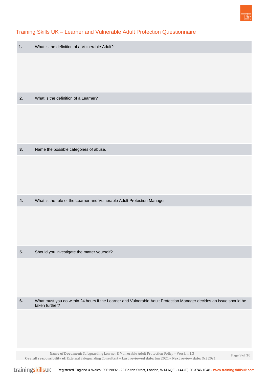

# Training Skills UK – Learner and Vulnerable Adult Protection Questionnaire

| 1. | What is the definition of a Vulnerable Adult?                                                                           |
|----|-------------------------------------------------------------------------------------------------------------------------|
|    |                                                                                                                         |
|    |                                                                                                                         |
| 2. | What is the definition of a Learner?                                                                                    |
|    |                                                                                                                         |
|    |                                                                                                                         |
| 3. | Name the possible categories of abuse.                                                                                  |
|    |                                                                                                                         |
|    |                                                                                                                         |
|    |                                                                                                                         |
| 4. | What is the role of the Learner and Vulnerable Adult Protection Manager                                                 |
|    |                                                                                                                         |
|    |                                                                                                                         |
| 5. | Should you investigate the matter yourself?                                                                             |
|    |                                                                                                                         |
|    |                                                                                                                         |
| 6. | What must you do within 24 hours if the Learner and Vulnerable Adult Protection Manager decides an issue should be      |
|    | taken further?                                                                                                          |
|    |                                                                                                                         |
|    |                                                                                                                         |
|    | Name of Document: Safeguarding Learner & Vulnerable Adult Protection Policy - Version 1.3<br>Page 9 of 10               |
|    | Overall responsibility of: External Safeguarding Consultant - Last reviewed date: Jun 2021 - Next review date: Oct 2021 |